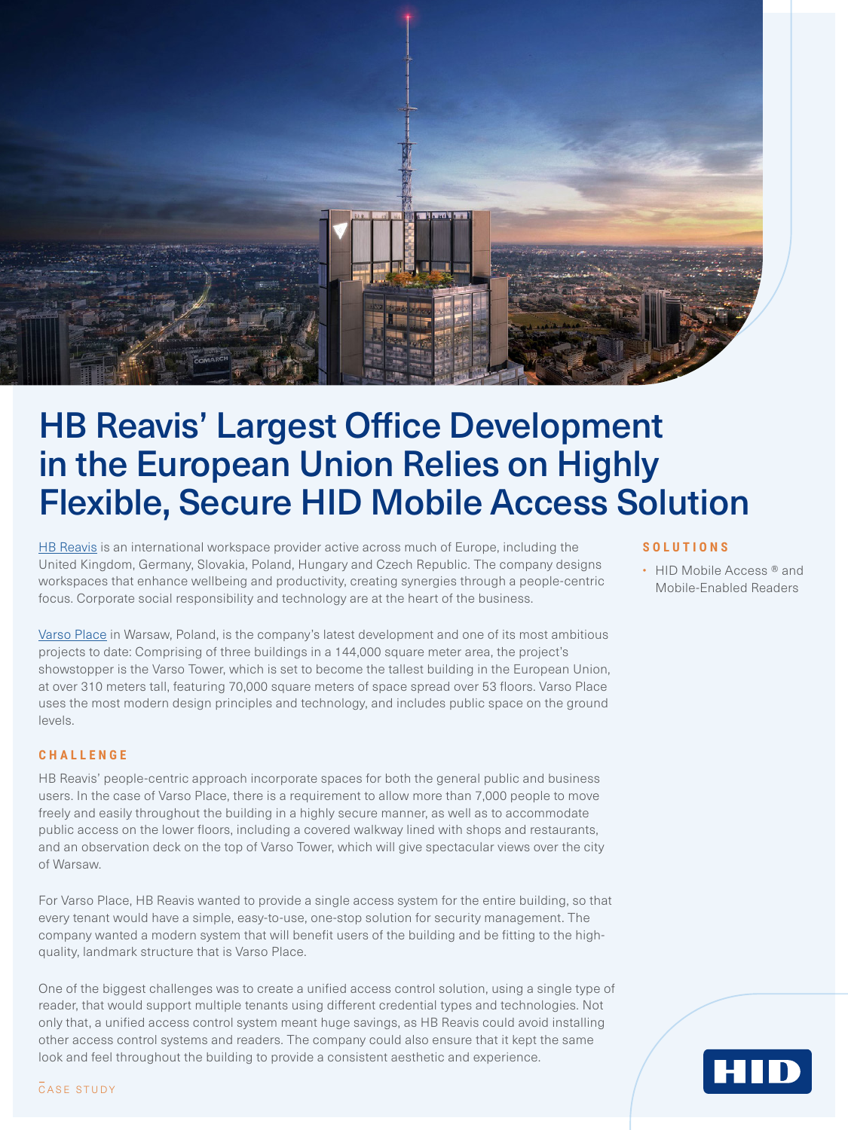

# HB Reavis' Largest Office Development in the European Union Relies on Highly Flexible, Secure HID Mobile Access Solution

[HB Reavis](https://hbreavis.com/uk/) is an international workspace provider active across much of Europe, including the United Kingdom, Germany, Slovakia, Poland, Hungary and Czech Republic. The company designs workspaces that enhance wellbeing and productivity, creating synergies through a people-centric focus. Corporate social responsibility and technology are at the heart of the business.

[Varso Place](https://hbreavis.com/uk/project/varso-place/) in Warsaw, Poland, is the company's latest development and one of its most ambitious projects to date: Comprising of three buildings in a 144,000 square meter area, the project's showstopper is the Varso Tower, which is set to become the tallest building in the European Union, at over 310 meters tall, featuring 70,000 square meters of space spread over 53 floors. Varso Place uses the most modern design principles and technology, and includes public space on the ground levels.

## **CHALLENGE**

HB Reavis' people-centric approach incorporate spaces for both the general public and business users. In the case of Varso Place, there is a requirement to allow more than 7,000 people to move freely and easily throughout the building in a highly secure manner, as well as to accommodate public access on the lower floors, including a covered walkway lined with shops and restaurants, and an observation deck on the top of Varso Tower, which will give spectacular views over the city of Warsaw.

For Varso Place, HB Reavis wanted to provide a single access system for the entire building, so that every tenant would have a simple, easy-to-use, one-stop solution for security management. The company wanted a modern system that will benefit users of the building and be fitting to the highquality, landmark structure that is Varso Place.

One of the biggest challenges was to create a unified access control solution, using a single type of reader, that would support multiple tenants using different credential types and technologies. Not only that, a unified access control system meant huge savings, as HB Reavis could avoid installing other access control systems and readers. The company could also ensure that it kept the same look and feel throughout the building to provide a consistent aesthetic and experience.

#### **SOLUTIONS**

• HID Mobile Access ® and Mobile-Enabled Readers

нп

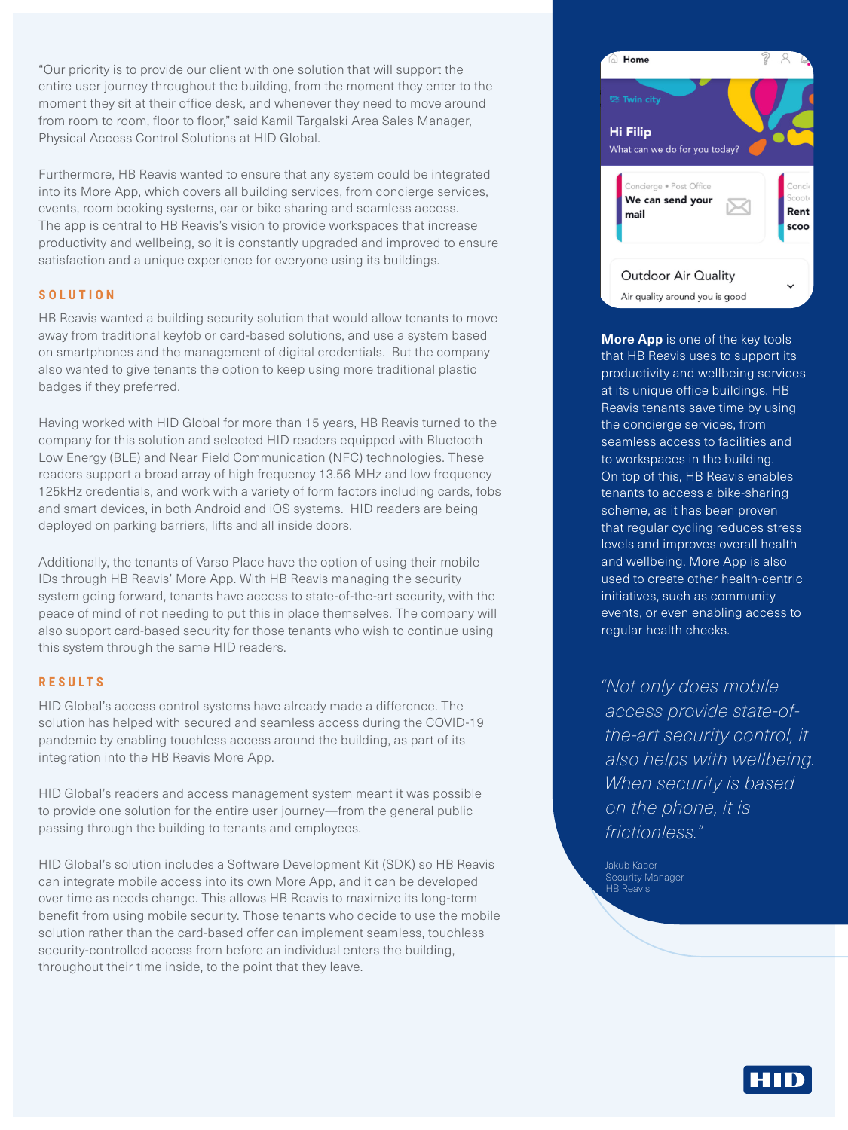"Our priority is to provide our client with one solution that will support the entire user journey throughout the building, from the moment they enter to the moment they sit at their office desk, and whenever they need to move around from room to room, floor to floor," said Kamil Targalski Area Sales Manager, Physical Access Control Solutions at HID Global.

Furthermore, HB Reavis wanted to ensure that any system could be integrated into its More App, which covers all building services, from concierge services, events, room booking systems, car or bike sharing and seamless access. The app is central to HB Reavis's vision to provide workspaces that increase productivity and wellbeing, so it is constantly upgraded and improved to ensure satisfaction and a unique experience for everyone using its buildings.

### **SOLUTION**

HB Reavis wanted a building security solution that would allow tenants to move away from traditional keyfob or card-based solutions, and use a system based on smartphones and the management of digital credentials. But the company also wanted to give tenants the option to keep using more traditional plastic badges if they preferred.

Having worked with HID Global for more than 15 years, HB Reavis turned to the company for this solution and selected HID readers equipped with Bluetooth Low Energy (BLE) and Near Field Communication (NFC) technologies. These readers support a broad array of high frequency 13.56 MHz and low frequency 125kHz credentials, and work with a variety of form factors including cards, fobs and smart devices, in both Android and iOS systems. HID readers are being deployed on parking barriers, lifts and all inside doors.

Additionally, the tenants of Varso Place have the option of using their mobile IDs through HB Reavis' More App. With HB Reavis managing the security system going forward, tenants have access to state-of-the-art security, with the peace of mind of not needing to put this in place themselves. The company will also support card-based security for those tenants who wish to continue using this system through the same HID readers.

## **RESULTS**

HID Global's access control systems have already made a difference. The solution has helped with secured and seamless access during the COVID-19 pandemic by enabling touchless access around the building, as part of its integration into the HB Reavis More App.

HID Global's readers and access management system meant it was possible to provide one solution for the entire user journey—from the general public passing through the building to tenants and employees.

HID Global's solution includes a Software Development Kit (SDK) so HB Reavis can integrate mobile access into its own More App, and it can be developed over time as needs change. This allows HB Reavis to maximize its long-term benefit from using mobile security. Those tenants who decide to use the mobile solution rather than the card-based offer can implement seamless, touchless security-controlled access from before an individual enters the building, throughout their time inside, to the point that they leave.



**More App** is one of the key tools that HB Reavis uses to support its productivity and wellbeing services at its unique office buildings. HB Reavis tenants save time by using the concierge services, from seamless access to facilities and to workspaces in the building. On top of this, HB Reavis enables tenants to access a bike-sharing scheme, as it has been proven that regular cycling reduces stress levels and improves overall health and wellbeing. More App is also used to create other health-centric initiatives, such as community events, or even enabling access to regular health checks.

*"Not only does mobile access provide state-ofthe-art security control, it also helps with wellbeing. When security is based on the phone, it is frictionless."* 

Security Manager HB Reavis